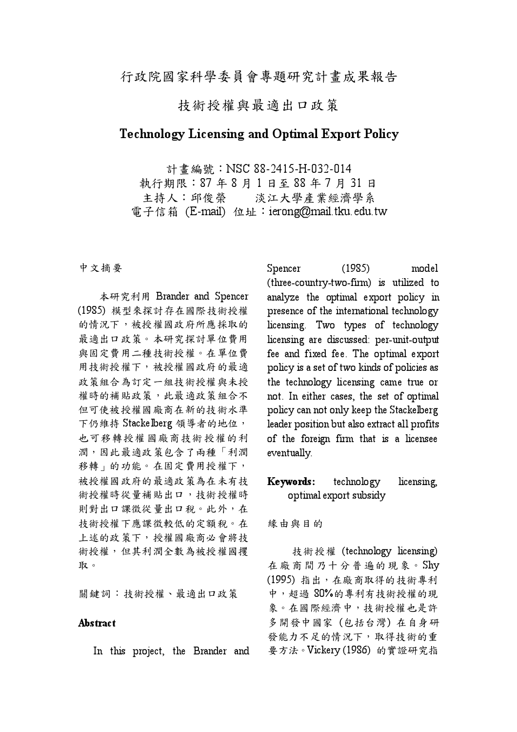# 行政院國家科學委員會專題研究計畫成果報告

## 技術授權與最適出口政策

## Technology Licensing and Optimal Export Policy

計畫編號:NSC 88-2415-H-032-014 執行期限: 87年8月1日至88年7月31日 主持人:邱俊榮 淡江大學產業經濟學系 電子信箱 (E-mail) 位址: ierong@mail.tku.edu.tw

中文摘要

本研究利用 Brander and Spencer (1985)模型來探討存在國際技術授權 的情况下,被授權國政府所應採取的 最適出口政策。本研究探討單位費用 與固定費用二種技術授權。在單位費 用技術授權下,被授權國政府的最適 政策組合為訂定一組技術授權與未授 權時的補貼政策,此最適政策組合不 但可使被授權國廠商在新的技術水準 下仍維持 Stackelberg 領導者的地位, 也可移轉授權國廠商技術授權的利 潤,因此最適政策包含了兩種「利潤 移轉」的功能。在固定費用授權下, 被授權國政府的最適政策為在未有技 術授權時從量補貼出口,技術授權時 則對出口課徵從量出口稅。此外,在 技術授權下應課徵較低的定額稅。在 上述的政策下,授權國廠商必會將技 術授權,但其利潤全數為被授權國攫 取。

關鍵詞:技術授權、最適出口政策

#### Abstract

In this project, the Brander and

Spencer (1985) model (three-country-two-firm) is utilized to analyze the optimal export policy in presence of the international technology licensing. Two types of technology licensing are discussed: per-unit-output fee and fixed fee. The optimal export policy is a set of two kinds of policies as the technology licensing came true or not. In either cases, the set of optimal policy can not only keep the Stackelberg leader position but also extract all profits of the foreign firm that is a licensee eventually.

### Keywords: technology licensing, optimal export subsidy

缘由與目的

技術授權 (technology licensing) 在廠商間乃十分普遍的現象。Shy (1995) 指出,在廠商取得的技術專利 中,超過80%的專利有技術授權的現 象。在國際經濟中,技術授權也是許 多開發中國家(包括台灣)在自身研 發能力不足的情況下,取得技術的重 要方法。Vickery (1986) 的實證研究指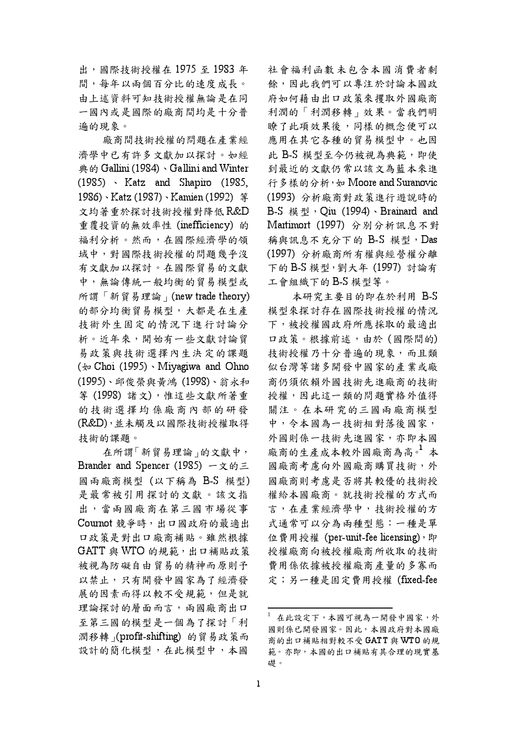出,國際技術授權在 1975至 1983年 間,每年以兩個百分比的速度成長。 由上述資料可知技術授權無論是在同 一國內或是國際的廠商間均是十分普 遍的現象。

廠商間技術授權的問題在產業經 濟學中已有許多文獻加以探討。如經 典的 Gallini (1984) 、 Gallini and Winter  $(1985)$  · Katz and Shapiro  $(1985,$ 1986)、Katz (1987)、Kamien (1992) 第 文均著重於探討技術授權對降低R&D 重覆投資的無效率性 (inefficiency) 的 福利分析。然而,在國際經濟學的領 域中,對國際技術授權的問題幾乎沒 有文獻加以探討。在國際貿易的文獻 中,無論傳統一般均衡的貿易模型或 所謂「新貿易理論」(new trade theory) 的部分均衡貿易模型,大都是在生產 技術外生固定的情況下進行討論分 析。近年來,開始有一些文獻討論留 易政策與技術選擇內生決定的課題 (tv Choi (1995) Miyagiwa and Ohno (1995)、邱俊榮與黃鴻 (1998)、翁永和 等(1998)諸文),惟這些文獻所著重 的技術選擇均係廠商內部的研發 (R&D), 並未觸及以國際技術授權取得 技術的課題。

在所謂「新貿易理論」的文獻中, Brander and Spencer (1985) 一文的三 國兩廠商模型 (以下稱為 B-S 模型) 是最常被引用探討的文獻。該文指 出,當兩國廠商在第三國市場從事 Cournot 競爭時,出口國政府的最適出 口政策是對出口廠商補貼。雖然根據 GATT 與 WTO 的規範, 出口補貼政策 被視為防礙自由貿易的精神而原則予 以禁止,只有開發中國家為了經濟發 展的因素而得以較不受規範,但是就 理論探討的層面而言,兩國廠商出口 至第三國的模型是一個為了探討「利 潤移轉 (profit-shifting) 的貿易政策而 設計的簡化模型,在此模型中,本國

社會福利函數未包含本國消費者剩 餘,因此我們可以專注於討論本國政 府如何藉由出口政策來攫取外國廠商 利潤的「利潤移轉」效果。當我們明 瞭了此項效果後,同樣的概念便可以 應用在其它各種的貿易模型中。也因 此 B-S 模型至今仍被視為典範, 即使 到最近的文獻仍常以該文為藍本來進 行多樣的分析, 如 Moore and Suranovic (1993) 分析廠商對政第進行遊說時的 B-S 模型, Qiu (1994)、Brainard and Martimort (1997) 分別分析訊息不對 稱與訊息不充分下的 B-S 模型, Das (1997) 分析廠商所有權與經營權分離 下的 B-S 模型, 劉大年 (1997) 討論有 工會組織下的B-S模型等。

本研究主要目的即在於利用 B-S 模型來探討存在國際技術授權的情況 下,被授權國政府所應採取的最適出 口政策。根據前述,由於(國際間的) 技術授權乃十分普遍的現象,而且類 似台灣等諸多開發中國家的產業或廠 商仍須依賴外國技術先進廠商的技術 授權,因此這一類的問題實格外值得 關注。在本研究的三國兩廠商模型 中,今本國為一技術相對落後國家, 外國則係一技術先進國家,亦即本國 廠商的生產成本較外國廠商為高。<br>本 國廠商考慮向外國廠商購買技術,外 國廠商則考慮是否將其較優的技術授 權給本國廠商。就技術授權的方式而 言,在產業經濟學中,技術授權的方 式通常可以分為兩種型熊:一種是單 位費用授權 (per-unit-fee licensing), 即 授權廠商向被授權廠商所收取的技術 費用係依據被授權廠商產量的多寡而 定;另一種是固定費用授權(fixed-fee

<sup>1</sup> 在此設定下,本國可視為一開發中國家,外 國則係已開發國家。因此,本國政府對本國廠 商的出口補貼相對較不受 GATT 與 WTO 的規 範。亦即,本國的出口補貼有其合理的現實基 礎。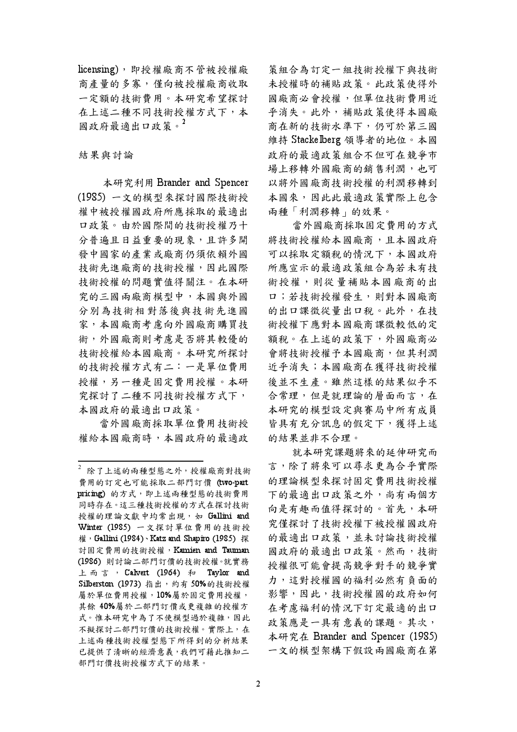licensing), 即授權廠商不管被授權廠 商產量的多寡,僅向被授權廠商收取 一定額的技術費用。本研究希望探討 在上述二種不同技術授權方式下,本 國政府最適出口政策。<sup>2</sup>

結果與討論

本研究利用 Brander and Spencer (1985) 一文的模型來探討國際技術授 權中被授權國政府所應採取的最適出 口政策。由於國際間的技術授權乃十 分普遍且日益重要的現象,且許多開 發中國家的產業或廠商仍須依賴外國 技術先進廠商的技術授權,因此國際 技術授權的問題實值得關注。在本研 究的三國兩廠商模型中,本國與外國 分別為技術相對落後與技術先進國 家,本國廠商考慮向外國廠商購買技 術,外國廠商則考慮是否將其較優的 技術授權給本國廠商。本研究所探討 的技術授權方式有二:一是單位費用 授權,另一種是固定費用授權。本研 究探討了二種不同技術授權方式下, 本國政府的最適出口政策。

當外國廠商採取單位費用技術授 權給本國廠商時,本國政府的最適政 策組合為訂定一組技術授權下與技術 未授權時的補貼政策。此政策使得外 國廠商必會授權,但單位技術費用近 乎消失。此外,補貼政策使得本國廠 商在新的技術水準下,仍可於第三國 維持 Stackelberg 領導者的地位。本國 政府的最適政策組合不但可在競爭市 場上移轉外國廠商的銷售利潤,也可 以將外國廠商技術授權的利潤移轉到 本國來,因此此最適政策實際上包含 兩種「利潤移轉」的效果。

當外國廠商採取固定費用的方式 將技術授權給本國廠商,且本國政府 可以採取定額稅的情況下,本國政府 所應宣示的最適政策組合為若未有技 術授權,則從量補貼本國廠商的出 口;若技術授權發生,則對本國廠商 的出口課徵從量出口稅。此外,在技 術授權下應對本國廠商課徵較低的定 額稅。在上述的政策下,外國廠商必 會將技術授權予本國廠商,但其利潤 近乎消失;本國廠商在獲得技術授權 後並不生產。雖然這樣的結果似乎不 合常理,但是就理論的層面而言,在 本研究的模型設定與賽局中所有成員 皆具有充分訊息的假定下,獲得上述 的結果並非不合理。

就本研究課題將來的延伸研究而 言,除了將來可以尋求更為合乎實際 的理論模型來探討固定費用技術授權 下的最適出口政策之外,尚有兩個方 向是有趣而值得探討的。首先,本研 究僅探討了技術授權下被授權國政府 的最適出口政策,並未討論技術授權 國政府的最適出口政策。然而,技術 授權很可能會提高競爭對手的競爭實 力,這對授權國的福利必然有負面的 影響,因此,技術授權國的政府如何 在考慮福利的情況下訂定最適的出口 政策應是一具有意義的課題。其次, 本研究在 Brander and Spencer (1985) 一文的模型架構下假設兩國廠商在第

<sup>&</sup>lt;sup>2</sup> 除了上述的兩種型態之外,授權廠商對技術 費用的訂定也可能採取二部門訂價 (two-part pricing) 的方式, 即上述雨種型態的技術費用 同時存在。這三種技術授權的方式在探討技術 授權的理論文獻中均常出現, 如 Gallini and Winter (1985) 一文探討單位費用的技術授 權, Gallini (1984)、Katz and Shapiro (1985) 探 討固定費用的技術授權, Kamien and Tauman (1986) 則討論二部門訂價的技術授權。就實務 上而言, Calvert (1964) 和 Taylor and Silberston (1973) 指出, 約有 50%的技術授權 屬於單位費用授權, 10%屬於固定費用授權, 其餘 40%屬於二部門訂價或更複雜的授權方 式。惟本研究中為了不使模型過於複雜,因此 不擬探討二部門訂價的技術授權。實際上,在 上述兩種技術授權型態下所得到的分析結果 已提供了清晰的經濟意義,我們可藉此推知二 部門訂價技術授權方式下的結果。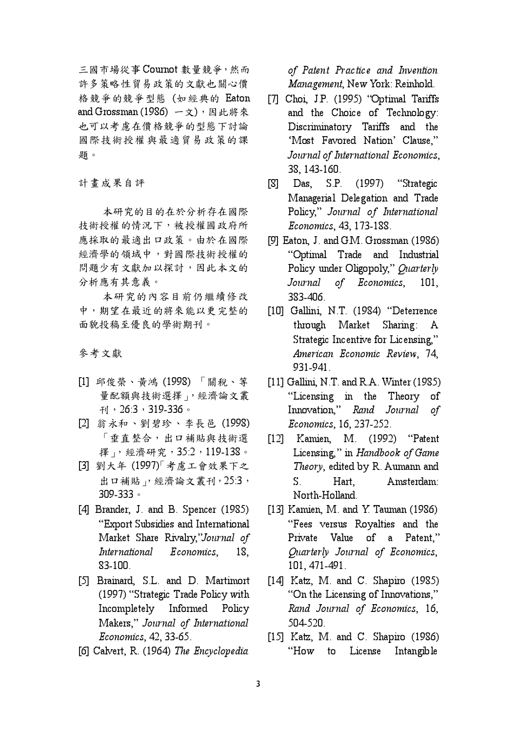三國市場從事 Cournot 數量競爭,然而 許多策略性貿易政策的文獻也關心價 格競爭的競爭型態 (如經典的 Eaton and Grossman (1986) 一文),因此將來 也可以考慮在價格競爭的型態下討論 國際技術授權與最適貿易政策的課 題。

計畫成果自評

本研究的目的在於分析存在國際 技術授權的情況下,被授權國政府所 應採取的最適出口政策。由於在國際 經濟學的領域中,對國際技術授權的 問題少有文獻加以探討,因此本文的 分析應有其意義。

本研究的內容目前仍繼續修改 中,期望在最近的將來能以更完整的 面貌投稿至優良的學術期刊。

參考文獻

- [1] 邱俊榮、黃鴻 (1998) 「關稅、等 量配額與技術選擇」,經濟論文叢  $\eta$ , 26:3, 319-336.
- [2] 翁永和、劉碧珍、李長邑 (1998) 「垂直整合,出口補貼與技術選 擇, 經濟研究, 35:2, 119-138。
- [3] 劉大年 (1997)「考慮工會效果下之 出口補貼」,經濟論文叢刊, 25:3, 309-333。
- [4] Brander, J. and B. Spencer (1985) "Export Subsidies and International Market Share Rivalry,"Journal of International Economics. 18. 83-100.
- [5] Brainard, S.L. and D. Martimort (1997) "Strategic Trade Policy with Incompletely Informed Policy Makers," Journal of International Economics, 42, 33-65.
- [6] Calvert, R. (1964) The Encyclopedia

of Patent Practice and Invention Management, New York: Reinhold.

- [7] Choi, JP. (1995) "Optimal Tariffs and the Choice of Technology: Discriminatory Tariffs and the 'Most Favored Nation' Clause." Journal of International Economics, 38, 143-160.
- Das,  $S.P.$  $(1997)$  $[8]$ "Strategic Managerial Delegation and Trade Policy," Journal of International Economics, 43, 173-188.
- [9] Eaton, J. and GM. Grossman (1986) "Optimal Trade and Industrial Policy under Oligopoly," Quarterly Economics, Journal  $of$  $101.$ 383-406.
- [10] Gallini, N.T. (1984) "Deterrence through Market Sharing: A Strategic Incentive for Licensing." American Economic Review, 74, 931-941
- $[11]$  Gallini, N.T. and R.A. Winter (1985) "Licensing in the Theory οf Innovation," Rand Journal of Economics, 16, 237-252.
- [12] Kamien, M. (1992) "Patent Licensing," in Handbook of Game Theory, edited by R. Aumann and  $S_{\perp}$ Hart Amsterdam<sup>.</sup> North-Holland.
- [13] Kamien, M. and Y. Tauman  $(1986)$ "Fees versus Royalties and the Private Value of a Patent," Quarterly Journal of Economics, 101, 471-491.
- $[14]$  Katz, M. and C. Shapiro  $(1985)$ "On the Licensing of Innovations," Rand Journal of Economics, 16, 504-520.
- $[15]$  Katz, M. and C. Shapiro  $(1986)$ "How to License Intangible